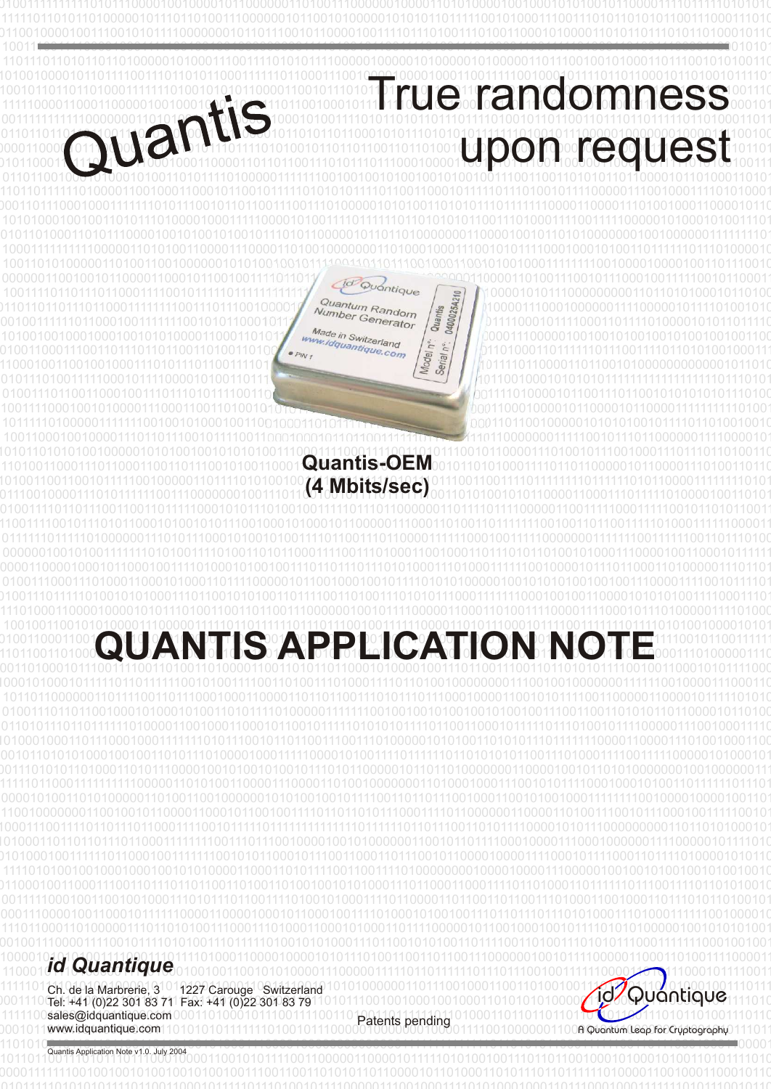

 

 Quantis Application Note v1.0. July 2004

 www.idquantique.com A Quantum Leap for Cryptography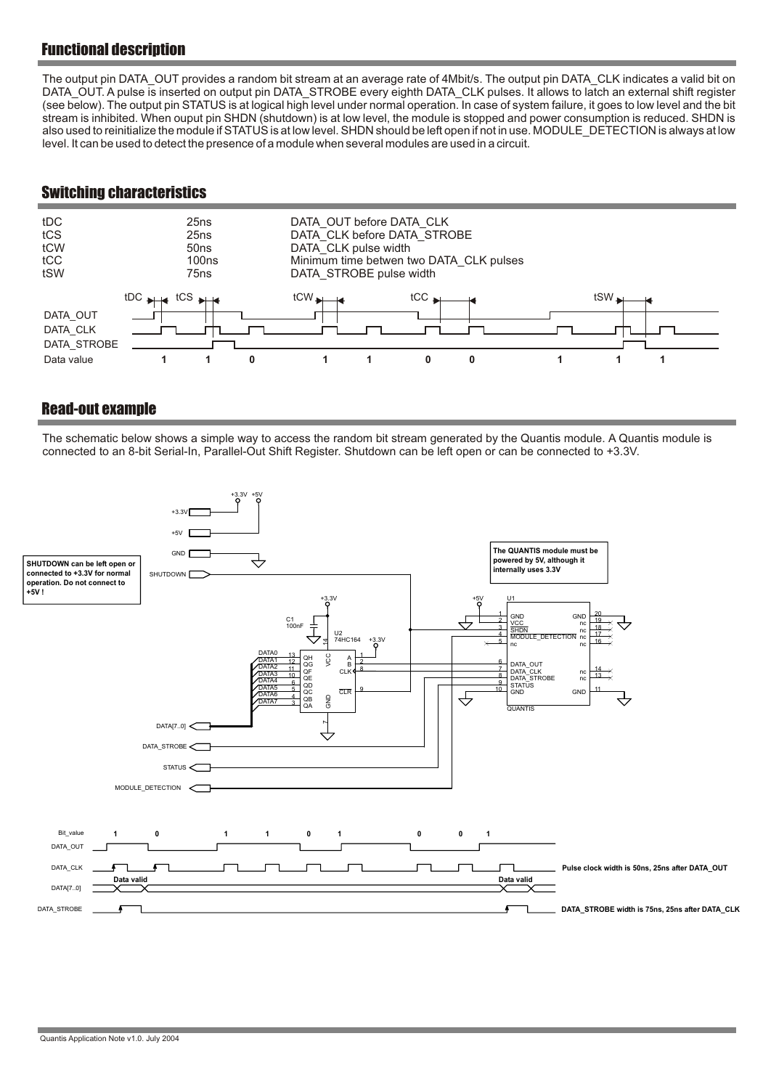# Functional description

The output pin DATA\_OUT provides a random bit stream at an average rate of 4Mbit/s. The output pin DATA\_CLK indicates a valid bit on DATA\_OUT. A pulse is inserted on output pin DATA\_STROBE every eighth DATA\_CLK pulses. It allows to latch an external shift register (see below). The output pin STATUS is at logical high level under normal operation. In case of system failure, it goes to low level and the bit stream is inhibited. When ouput pin SHDN (shutdown) is at low level, the module is stopped and power consumption is reduced. SHDN is also used to reinitialize the module if STATUS is at low level. SHDN should be left open if not in use. MODULE\_DETECTION is always at low level. It can be used to detect the presence of a module when several modules are used in a circuit.

## Switching characteristics



## Read-out example

The schematic below shows a simple way to access the random bit stream generated by the Quantis module. A Quantis module is connected to an 8-bit Serial-In, Parallel-Out Shift Register. Shutdown can be left open or can be connected to +3.3V.

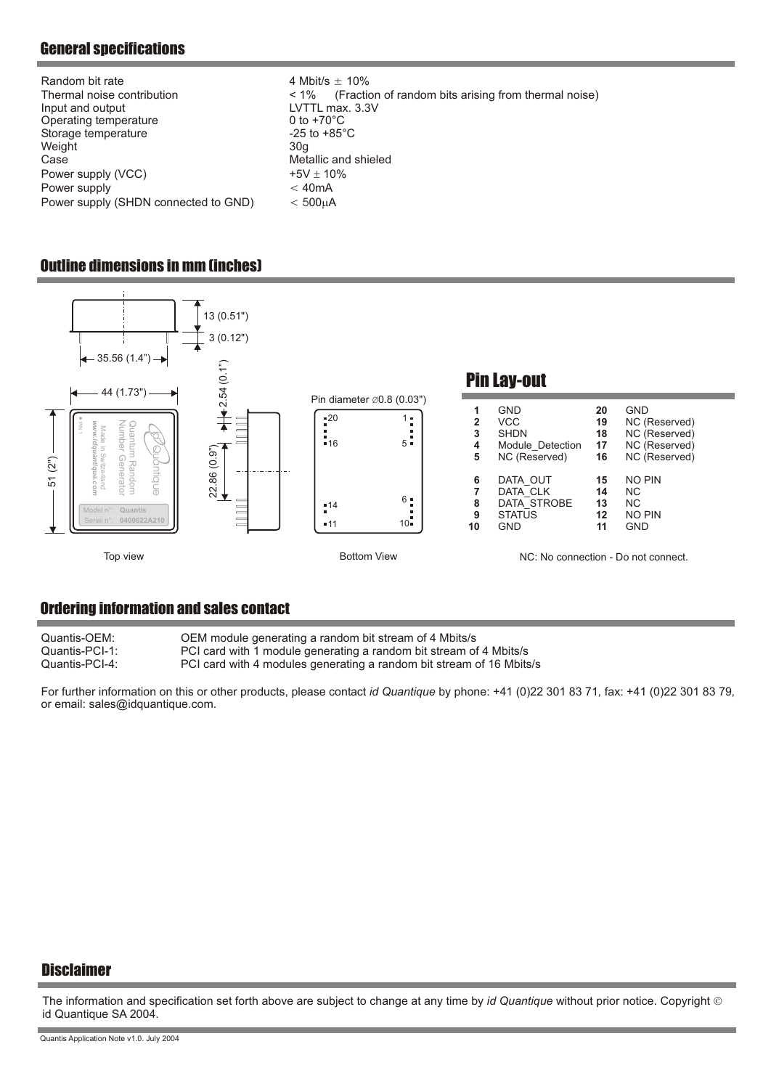# General specifications

| $-25$ to $+85^{\circ}$ C<br>Storage temperature<br>Weight<br>30 <sub>a</sub><br>Metallic and shieled<br>Case<br>Power supply (VCC)<br>$+5V$ 10%<br>< 40mA<br>Power supply<br>Power supply (SHDN connected to GND)<br>$< 500$ A | Random bit rate<br>Thermal noise contribution<br>Input and output<br>Operating temperature | 4 Mbit/s $\pm$ 10%<br>(Fraction of random bits arising from thermal noise)<br>$< 1\%$<br>LVTTL max. 3.3V<br>0 to $+70^{\circ}$ C |
|--------------------------------------------------------------------------------------------------------------------------------------------------------------------------------------------------------------------------------|--------------------------------------------------------------------------------------------|----------------------------------------------------------------------------------------------------------------------------------|
|--------------------------------------------------------------------------------------------------------------------------------------------------------------------------------------------------------------------------------|--------------------------------------------------------------------------------------------|----------------------------------------------------------------------------------------------------------------------------------|

## Outline dimensions in mm (inches)



## Ordering information and sales contact

| Quantis-OEM:   | OEM module generating a random bit stream of 4 Mbits/s               |
|----------------|----------------------------------------------------------------------|
| Quantis-PCI-1: | PCI card with 1 module generating a random bit stream of 4 Mbits/s   |
| Quantis-PCI-4: | PCI card with 4 modules generating a random bit stream of 16 Mbits/s |

For further information on this or other products, please contact *id Quantique* by phone: +41 (0)22 301 83 71, fax: +41 (0)22 301 83 79, or email: sales@idquantique.com .

#### **Disclaimer**

The information and specification set forth above are subject to change at any time by *id Quantique* without prior notice. Copyright id Quantique SA 2004.